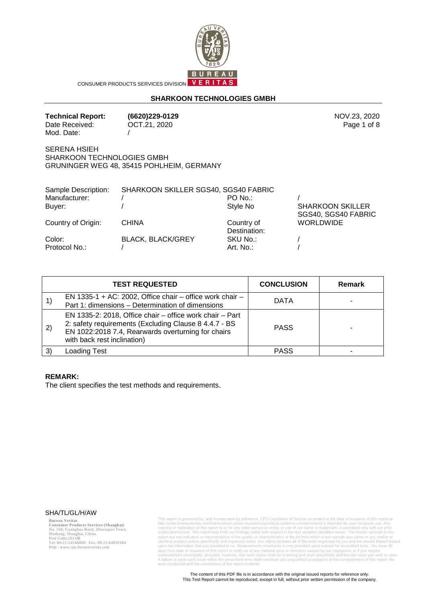

CONSUMER PRODUCTS SERVICES DIVISION VERITAS

## **SHARKOON TECHNOLOGIES GMBH**

| <b>Technical Report:</b> | (6 |
|--------------------------|----|
| Date Received:           | ΟG |
| Mod. Date:               |    |

OCT.21, 2020

**Technical Report: (6620)229-0129** NOV.23, 2020 Page 1 of 8

SERENA HSIEH SHARKOON TECHNOLOGIES GMBH GRUNINGER WEG 48, 35415 POHLHEIM, GERMANY

| Sample Description:     | SHARKOON SKILLER SGS40, SGS40 FABRIC |                            |                                                |
|-------------------------|--------------------------------------|----------------------------|------------------------------------------------|
| Manufacturer:           |                                      | $PO$ No.:                  |                                                |
| Buyer:                  |                                      | Style No                   | <b>SHARKOON SKILLER</b><br>SGS40, SGS40 FABRIC |
| Country of Origin:      | <b>CHINA</b>                         | Country of<br>Destination: | <b>WORLDWIDE</b>                               |
| Color:<br>Protocol No.: | <b>BLACK, BLACK/GREY</b>             | SKU No.:<br>Art. No.:      |                                                |

|    | <b>TEST REQUESTED</b>                                                                                                                                                                                  | <b>CONCLUSION</b> | <b>Remark</b> |
|----|--------------------------------------------------------------------------------------------------------------------------------------------------------------------------------------------------------|-------------------|---------------|
|    | EN 1335-1 + AC: 2002, Office chair – office work chair –<br>Part 1: dimensions - Determination of dimensions                                                                                           | <b>DATA</b>       |               |
| 2) | EN 1335-2: 2018, Office chair – office work chair – Part<br>2: safety requirements (Excluding Clause 8 4.4.7 - BS<br>EN 1022:2018 7.4, Rearwards overturning for chairs<br>with back rest inclination) | <b>PASS</b>       |               |
| 3) | Loading Test                                                                                                                                                                                           | <b>PASS</b>       |               |

#### **REMARK:**

The client specifies the test methods and requirements.

#### SHA/TL/GL/H/AW

**Bureau Veritas<br>Consumer Products Services (Shanghai)**<br>No. 168, Guanghua Road, Zhuanqiao Town,<br>Minhang, Shanghai, China.<br>Post Code:201108<br>Tel: 86-21-24166888 Fax: 86-21-64891984 Http : www.cps.bureauveritas.com

This report is governed by, and incorporates by reference, CPS Conditions of Service as posted at the date of issuance of this report at the convincendent controller complement in interpative that complement in the conjugi A failure to raise such issue within the prescribed time shall constitute you unqualified acceptance of the completeness of this report, the tests conducted and the correctness of the report contents.

The content of this PDF file is in accordance with the original issued reports for reference only. This Test Report cannot be reproduced, except in full, without prior written permission of the company.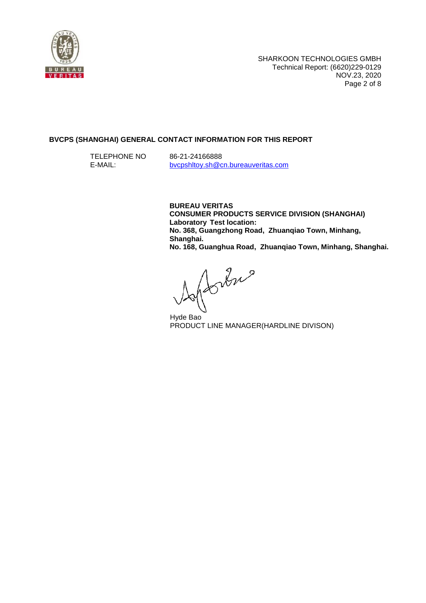

## **BVCPS (SHANGHAI) GENERAL CONTACT INFORMATION FOR THIS REPORT**

 TELEPHONE NO E-MAIL:

86-21-24166888 bvcpshltoy.sh@cn.bureauveritas.com

**BUREAU VERITAS CONSUMER PRODUCTS SERVICE DIVISION (SHANGHAI) Laboratory Test location: No. 368, Guangzhong Road, Zhuanqiao Town, Minhang, Shanghai. No. 168, Guanghua Road, Zhuanqiao Town, Minhang, Shanghai.** 

Johns

Hyde Bao PRODUCT LINE MANAGER(HARDLINE DIVISON)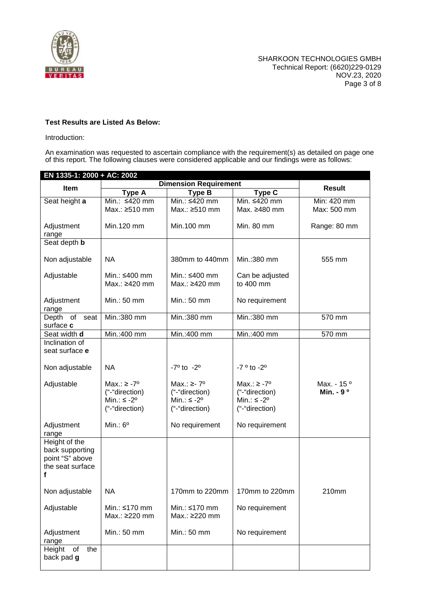

# **Test Results are Listed As Below:**

Introduction:

An examination was requested to ascertain compliance with the requirement(s) as detailed on page one of this report. The following clauses were considered applicable and our findings were as follows:

| EN 1335-1: 2000 + AC: 2002                                                   |                                                                                |                                                                                 |                                                                                 |                                                 |
|------------------------------------------------------------------------------|--------------------------------------------------------------------------------|---------------------------------------------------------------------------------|---------------------------------------------------------------------------------|-------------------------------------------------|
| Item                                                                         | <b>Dimension Requirement</b>                                                   |                                                                                 |                                                                                 | <b>Result</b>                                   |
|                                                                              | <b>Type A</b>                                                                  | <b>Type B</b>                                                                   | Type C                                                                          |                                                 |
| Seat height a                                                                | Min.: ≤420 mm                                                                  | Min.: ≤420 mm                                                                   | Min. ≤420 mm                                                                    | Min: 420 mm                                     |
|                                                                              | Max.: ≥510 mm                                                                  | Max.: ≥510 mm                                                                   | Max. ≥480 mm                                                                    | Max: 500 mm                                     |
| Adjustment<br>range                                                          | Min.120 mm                                                                     | Min.100 mm                                                                      | Min. 80 mm                                                                      | Range: 80 mm                                    |
| Seat depth <b>b</b>                                                          |                                                                                |                                                                                 |                                                                                 |                                                 |
|                                                                              |                                                                                |                                                                                 |                                                                                 |                                                 |
| Non adjustable                                                               | <b>NA</b>                                                                      | 380mm to 440mm                                                                  | Min.: 380 mm                                                                    | 555 mm                                          |
| Adjustable                                                                   | Min.: ≤400 mm<br>Max.: ≥420 mm                                                 | Min.: ≤400 mm<br>Max.: ≥420 mm                                                  | Can be adjusted<br>to 400 mm                                                    |                                                 |
| Adjustment<br>range                                                          | Min.: 50 mm                                                                    | Min.: 50 mm                                                                     | No requirement                                                                  |                                                 |
| Depth of seat<br>surface c                                                   | Min.: 380 mm                                                                   | Min.:380 mm                                                                     | Min.: 380 mm                                                                    | 570 mm                                          |
| Seat width d                                                                 | Min.:400 mm                                                                    | Min.:400 mm                                                                     | Min.:400 mm                                                                     | 570 mm                                          |
| Inclination of<br>seat surface e                                             |                                                                                |                                                                                 |                                                                                 |                                                 |
| Non adjustable                                                               | NA                                                                             | $-7^{\circ}$ to $-2^{\circ}$                                                    | $-7°$ to $-2°$                                                                  |                                                 |
| Adjustable                                                                   | Max.: $\ge -7^{\circ}$<br>("-"direction)<br>Min.: $\leq$ -2°<br>("-"direction) | Max.: $\ge$ - 7°<br>("-"direction)<br>Min.: $\leq -2^{\circ}$<br>("-"direction) | Max.: $\geq$ -7°<br>("-"direction)<br>Min.: $\leq -2^{\circ}$<br>("-"direction) | Max. - 15 <sup>o</sup><br>Min. - 9 <sup>o</sup> |
| Adjustment<br>range                                                          | Min.: $6^{\circ}$                                                              | No requirement                                                                  | No requirement                                                                  |                                                 |
| Height of the<br>back supporting<br>point "S" above<br>the seat surface<br>f |                                                                                |                                                                                 |                                                                                 |                                                 |
| Non adjustable                                                               | <b>NA</b>                                                                      | 170mm to 220mm                                                                  | 170mm to 220mm                                                                  | 210mm                                           |
| Adjustable                                                                   | Min.: $\leq 170$ mm<br>Max.: ≥220 mm                                           | Min.: ≤170 mm<br>Max.: ≥220 mm                                                  | No requirement                                                                  |                                                 |
| Adjustment<br>range                                                          | Min.: 50 mm                                                                    | Min.: 50 mm                                                                     | No requirement                                                                  |                                                 |
| Height<br>of<br>the<br>back pad g                                            |                                                                                |                                                                                 |                                                                                 |                                                 |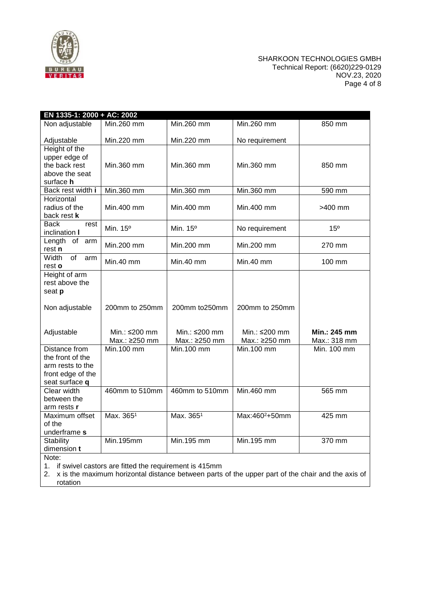

### SHARKOON TECHNOLOGIES GMBH Technical Report: (6620)229-0129 NOV.23, 2020 Page 4 of 8

| Min.260 mm<br>Non adjustable<br>Min.260 mm<br>Min.260 mm<br>850 mm<br>Min.220 mm<br>Adjustable<br>Min.220 mm<br>No requirement<br>Height of the<br>upper edge of<br>the back rest<br>Min.360 mm<br>Min.360 mm<br>Min.360 mm<br>850 mm<br>above the seat<br>surface h<br>$\overline{\text{Min.360}}$ mm<br>Back rest width i<br>Min.360 mm<br>Min.360 mm<br>590 mm<br>Horizontal<br>radius of the<br>Min.400 mm<br>Min.400 mm<br>Min.400 mm<br>>400 mm<br>back rest k<br><b>Back</b><br>rest<br>Min. 15°<br>Min. 15°<br>No requirement<br>$15^\circ$<br>inclination I<br>Length of arm<br>Min.200 mm<br>Min.200 mm<br>Min.200 mm<br>270 mm<br>rest n<br>Width<br>of<br>arm<br>Min.40 mm<br>$Min.40$ mm<br>Min.40 mm<br>100 mm<br>rest o<br>Height of arm<br>rest above the<br>seat p<br>200mm to 250mm<br>Non adjustable<br>200mm to 250mm<br>200mm to250mm<br>Adjustable<br>Min.: ≤200 mm<br>Min.: ≤200 mm<br>Min.: 245 mm<br>Min.: ≤200 mm<br>Max.: ≥250 mm<br>Max.: ≥250 mm<br>Max.: ≥250 mm<br>Max.: 318 mm<br>Distance from<br>Min. 100 mm<br>Min.100 mm<br>Min.100 mm<br>Min. 100 mm<br>the front of the | EN 1335-1: 2000 + AC: 2002 |  |  |
|---------------------------------------------------------------------------------------------------------------------------------------------------------------------------------------------------------------------------------------------------------------------------------------------------------------------------------------------------------------------------------------------------------------------------------------------------------------------------------------------------------------------------------------------------------------------------------------------------------------------------------------------------------------------------------------------------------------------------------------------------------------------------------------------------------------------------------------------------------------------------------------------------------------------------------------------------------------------------------------------------------------------------------------------------------------------------------------------------------------|----------------------------|--|--|
|                                                                                                                                                                                                                                                                                                                                                                                                                                                                                                                                                                                                                                                                                                                                                                                                                                                                                                                                                                                                                                                                                                               |                            |  |  |
|                                                                                                                                                                                                                                                                                                                                                                                                                                                                                                                                                                                                                                                                                                                                                                                                                                                                                                                                                                                                                                                                                                               |                            |  |  |
|                                                                                                                                                                                                                                                                                                                                                                                                                                                                                                                                                                                                                                                                                                                                                                                                                                                                                                                                                                                                                                                                                                               |                            |  |  |
|                                                                                                                                                                                                                                                                                                                                                                                                                                                                                                                                                                                                                                                                                                                                                                                                                                                                                                                                                                                                                                                                                                               |                            |  |  |
|                                                                                                                                                                                                                                                                                                                                                                                                                                                                                                                                                                                                                                                                                                                                                                                                                                                                                                                                                                                                                                                                                                               |                            |  |  |
|                                                                                                                                                                                                                                                                                                                                                                                                                                                                                                                                                                                                                                                                                                                                                                                                                                                                                                                                                                                                                                                                                                               |                            |  |  |
|                                                                                                                                                                                                                                                                                                                                                                                                                                                                                                                                                                                                                                                                                                                                                                                                                                                                                                                                                                                                                                                                                                               |                            |  |  |
|                                                                                                                                                                                                                                                                                                                                                                                                                                                                                                                                                                                                                                                                                                                                                                                                                                                                                                                                                                                                                                                                                                               |                            |  |  |
|                                                                                                                                                                                                                                                                                                                                                                                                                                                                                                                                                                                                                                                                                                                                                                                                                                                                                                                                                                                                                                                                                                               |                            |  |  |
|                                                                                                                                                                                                                                                                                                                                                                                                                                                                                                                                                                                                                                                                                                                                                                                                                                                                                                                                                                                                                                                                                                               |                            |  |  |
|                                                                                                                                                                                                                                                                                                                                                                                                                                                                                                                                                                                                                                                                                                                                                                                                                                                                                                                                                                                                                                                                                                               |                            |  |  |
| arm rests to the<br>front edge of the<br>seat surface q                                                                                                                                                                                                                                                                                                                                                                                                                                                                                                                                                                                                                                                                                                                                                                                                                                                                                                                                                                                                                                                       |                            |  |  |
| 460mm to 510mm<br>460mm to 510mm<br>Min.460 mm<br>Clear width<br>565 mm<br>between the<br>arm rests r                                                                                                                                                                                                                                                                                                                                                                                                                                                                                                                                                                                                                                                                                                                                                                                                                                                                                                                                                                                                         |                            |  |  |
| Max. 365 <sup>1</sup><br>Max. 365 <sup>1</sup><br>Max:460 <sup>2</sup> +50mm<br>Maximum offset<br>425 mm<br>of the<br>underframe s                                                                                                                                                                                                                                                                                                                                                                                                                                                                                                                                                                                                                                                                                                                                                                                                                                                                                                                                                                            |                            |  |  |
| Min.195mm<br>Min.195 mm<br>Min. 195 mm<br><b>Stability</b><br>370 mm<br>dimension t<br>Note:                                                                                                                                                                                                                                                                                                                                                                                                                                                                                                                                                                                                                                                                                                                                                                                                                                                                                                                                                                                                                  |                            |  |  |

1. if swivel castors are fitted the requirement is 415mm

2. x is the maximum horizontal distance between parts of the upper part of the chair and the axis of rotation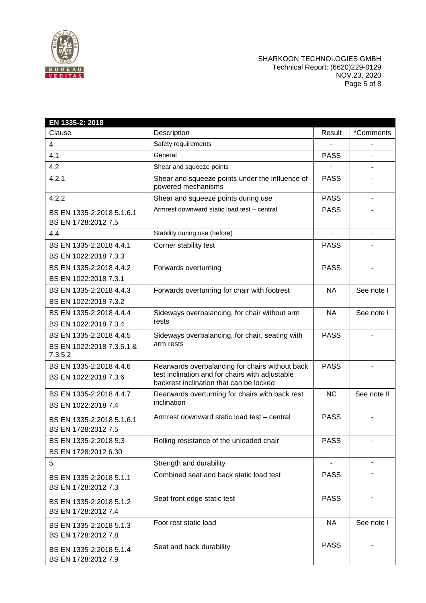

### SHARKOON TECHNOLOGIES GMBH Technical Report: (6620)229-0129 NOV.23, 2020 Page 5 of 8

| EN 1335-2: 2018                                                 |                                                                                                                                               |                          |             |
|-----------------------------------------------------------------|-----------------------------------------------------------------------------------------------------------------------------------------------|--------------------------|-------------|
| Clause                                                          | Description                                                                                                                                   | Result                   | *Comments   |
| 4                                                               | Safety requirements                                                                                                                           |                          |             |
| 4.1                                                             | General                                                                                                                                       | <b>PASS</b>              |             |
| 4.2                                                             | Shear and squeeze points                                                                                                                      |                          |             |
| 4.2.1                                                           | Shear and squeeze points under the influence of<br>powered mechanisms                                                                         | <b>PASS</b>              |             |
| 4.2.2                                                           | Shear and squeeze points during use                                                                                                           | <b>PASS</b>              | ÷.          |
| BS EN 1335-2:2018 5.1.6.1<br>BS EN 1728:2012 7.5                | Armrest downward static load test - central                                                                                                   | <b>PASS</b>              |             |
| 4.4                                                             | Stability during use (before)                                                                                                                 | $\overline{\phantom{a}}$ | ٠           |
| BS EN 1335-2:2018 4.4.1<br>BS EN 1022:2018 7.3.3                | Corner stability test                                                                                                                         | <b>PASS</b>              |             |
| BS EN 1335-2:2018 4.4.2<br>BS EN 1022:2018 7.3.1                | Forwards overturning                                                                                                                          | <b>PASS</b>              |             |
| BS EN 1335-2:2018 4.4.3<br>BS EN 1022:2018 7.3.2                | Forwards overturning for chair with footrest                                                                                                  | <b>NA</b>                | See note I  |
| BS EN 1335-2:2018 4.4.4<br>BS EN 1022:2018 7.3.4                | Sideways overbalancing, for chair without arm<br>rests                                                                                        | <b>NA</b>                | See note I  |
| BS EN 1335-2:2018 4.4.5<br>BS EN 1022:2018 7.3.5.1 &<br>7.3.5.2 | Sideways overbalancing, for chair, seating with<br>arm rests                                                                                  | <b>PASS</b>              |             |
| BS EN 1335-2:2018 4.4.6<br>BS EN 1022:2018 7.3.6                | Rearwards overbalancing for chairs without back<br>test inclination and for chairs with adjustable<br>backrest inclination that can be locked | <b>PASS</b>              |             |
| BS EN 1335-2:2018 4.4.7<br>BS EN 1022:2018 7.4                  | Rearwards overturning for chairs with back rest<br>inclination                                                                                | <b>NC</b>                | See note II |
| BS EN 1335-2:2018 5.1.6.1<br>BS EN 1728:2012 7.5                | Armrest downward static load test - central                                                                                                   | <b>PASS</b>              |             |
| BS EN 1335-2:2018 5.3<br>BS EN 1728:2012 6.30                   | Rolling resistance of the unloaded chair                                                                                                      | <b>PASS</b>              |             |
| 5                                                               | Strength and durability                                                                                                                       |                          |             |
| BS EN 1335-2:2018 5.1.1<br>BS EN 1728:2012 7.3                  | Combined seat and back static load test                                                                                                       | <b>PASS</b>              |             |
| BS EN 1335-2:2018 5.1.2<br>BS EN 1728:2012 7.4                  | Seat front edge static test                                                                                                                   | <b>PASS</b>              |             |
| BS EN 1335-2:2018 5.1.3<br>BS EN 1728:2012 7.8                  | Foot rest static load                                                                                                                         | <b>NA</b>                | See note I  |
| BS EN 1335-2:2018 5.1.4<br>BS EN 1728:2012 7.9                  | Seat and back durability                                                                                                                      | <b>PASS</b>              |             |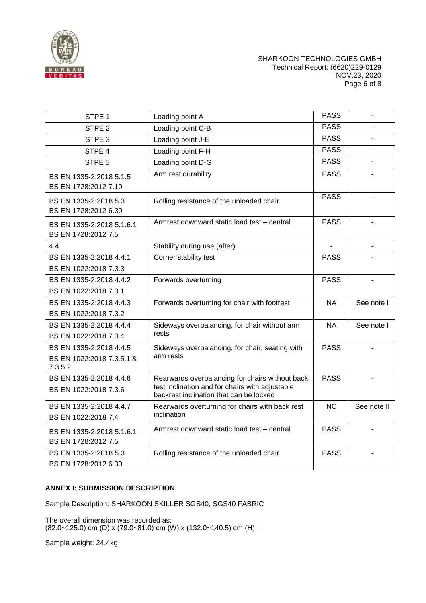

### SHARKOON TECHNOLOGIES GMBH Technical Report: (6620)229-0129 NOV.23, 2020 Page 6 of 8

| STPE <sub>1</sub>                                               | Loading point A                                                                                                                               | <b>PASS</b>              |             |
|-----------------------------------------------------------------|-----------------------------------------------------------------------------------------------------------------------------------------------|--------------------------|-------------|
| STPE <sub>2</sub>                                               | Loading point C-B                                                                                                                             | <b>PASS</b>              |             |
| STPE <sub>3</sub>                                               | Loading point J-E                                                                                                                             | <b>PASS</b>              |             |
| STPE 4                                                          | Loading point F-H                                                                                                                             | <b>PASS</b>              |             |
| STPE <sub>5</sub>                                               | Loading point D-G                                                                                                                             | <b>PASS</b>              |             |
| BS EN 1335-2:2018 5.1.5<br>BS EN 1728:2012 7.10                 | Arm rest durability                                                                                                                           | <b>PASS</b>              |             |
| BS EN 1335-2:2018 5.3<br>BS EN 1728:2012 6.30                   | Rolling resistance of the unloaded chair                                                                                                      | <b>PASS</b>              |             |
| BS EN 1335-2:2018 5.1.6.1<br>BS EN 1728:2012 7.5                | Armrest downward static load test – central                                                                                                   | <b>PASS</b>              |             |
| 4.4                                                             | Stability during use (after)                                                                                                                  | $\overline{\phantom{0}}$ |             |
| BS EN 1335-2:2018 4.4.1<br>BS EN 1022:2018 7.3.3                | Corner stability test                                                                                                                         | <b>PASS</b>              |             |
| BS EN 1335-2:2018 4.4.2<br>BS EN 1022:2018 7.3.1                | Forwards overturning                                                                                                                          | <b>PASS</b>              |             |
| BS EN 1335-2:2018 4.4.3<br>BS EN 1022:2018 7.3.2                | Forwards overturning for chair with footrest                                                                                                  | <b>NA</b>                | See note I  |
| BS EN 1335-2:2018 4.4.4<br>BS EN 1022:2018 7.3.4                | Sideways overbalancing, for chair without arm<br>rests                                                                                        | <b>NA</b>                | See note I  |
| BS EN 1335-2:2018 4.4.5<br>BS EN 1022:2018 7.3.5.1 &<br>7.3.5.2 | Sideways overbalancing, for chair, seating with<br>arm rests                                                                                  | <b>PASS</b>              |             |
| BS EN 1335-2:2018 4.4.6<br>BS EN 1022:2018 7.3.6                | Rearwards overbalancing for chairs without back<br>test inclination and for chairs with adjustable<br>backrest inclination that can be locked | <b>PASS</b>              |             |
| BS EN 1335-2:2018 4.4.7<br>BS EN 1022:2018 7.4                  | Rearwards overturning for chairs with back rest<br>inclination                                                                                | <b>NC</b>                | See note II |
| BS EN 1335-2:2018 5.1.6.1<br>BS EN 1728:2012 7.5                | Armrest downward static load test – central                                                                                                   | <b>PASS</b>              |             |
| BS EN 1335-2:2018 5.3<br>BS EN 1728:2012 6.30                   | Rolling resistance of the unloaded chair                                                                                                      | <b>PASS</b>              |             |

### **ANNEX I: SUBMISSION DESCRIPTION**

Sample Description: SHARKOON SKILLER SGS40, SGS40 FABRIC

The overall dimension was recorded as: (82.0~125.0) cm (D) x (79.0~81.0) cm (W) x (132.0~140.5) cm (H)

Sample weight: 24.4kg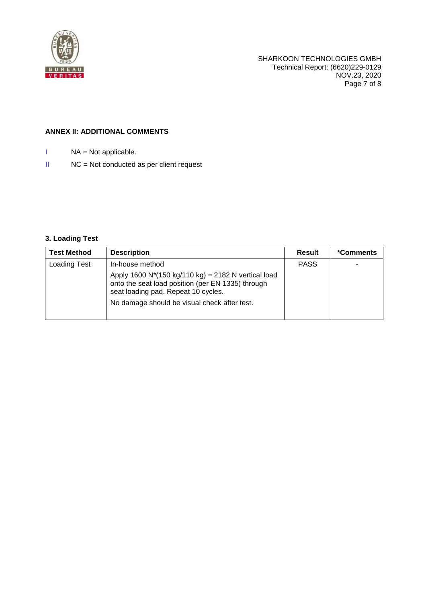

# **ANNEX II: ADDITIONAL COMMENTS**

- I NA = Not applicable.
- II NC = Not conducted as per client request

# **3. Loading Test**

| <b>Test Method</b>  | <b>Description</b>                                                                                                                                                                              | Result      | *Comments |
|---------------------|-------------------------------------------------------------------------------------------------------------------------------------------------------------------------------------------------|-------------|-----------|
| <b>Loading Test</b> | In-house method                                                                                                                                                                                 | <b>PASS</b> |           |
|                     | Apply 1600 N*(150 kg/110 kg) = 2182 N vertical load<br>onto the seat load position (per EN 1335) through<br>seat loading pad. Repeat 10 cycles.<br>No damage should be visual check after test. |             |           |